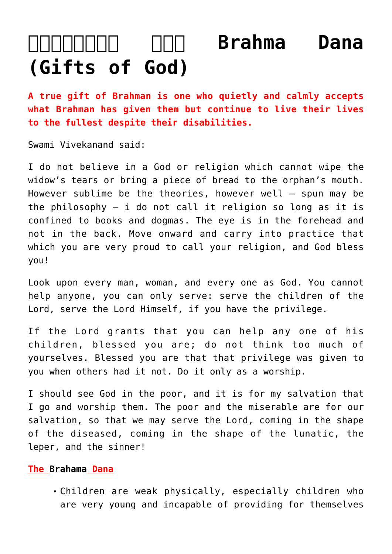## **and Communism Communism Communism Communism Communism Communism Communism Communism Communism Communism Communism Communism Communism Communism Communism Communism Communism Communism Communism Communism Communism Communi [\(Gifts of God\)](https://aryadharma.world/concepts/thestate/truetemples/brahmadana/)**

**A true gift of [Brahman](http://aryadharma.world/brahman/) is one who quietly and calmly accepts what Brahman has given them but continue to live their lives to the fullest despite their disabilities.**

[Swami Vivekanand](http://en.wikipedia.org/wiki/Vivekananda) said:

I do not believe in a [God](http://aryadharma.world/brahman/) or religion which cannot wipe the widow's tears or bring a piece of bread to the orphan's mouth. However sublime be the theories, however well – spun may be the philosophy  $-$  i do not call it religion so long as it is confined to books and dogmas. The eye is in the forehead and not in the back. Move onward and carry into practice that which you are very proud to call your religion, and God bless you!

Look upon every man, woman, and every one as [God](http://aryadharma.world/brahman/). You cannot help anyone, you can only serve: serve the children of the [Lord](http://aryadharma.world/brahman/), serve the Lord Himself, if you have the privilege.

If the Lord grants that you can help any one of his children, blessed you are; do not think too much of yourselves. Blessed you are that that privilege was given to you when others had it not. Do it only as a worship.

I should see [God](http://aryadharma.world/brahman/) in the poor, and it is for my salvation that I go and worship them. The poor and the miserable are for our salvation, so that we may serve the Lord, coming in the shape of the diseased, coming in the shape of the lunatic, the leper, and the sinner!

## **The [Brahama](http://aryadharma.world/brahman/) Dana**

[Children](http://aryadharma.world/children/) are weak physically, especially children who are very young and incapable of providing for themselves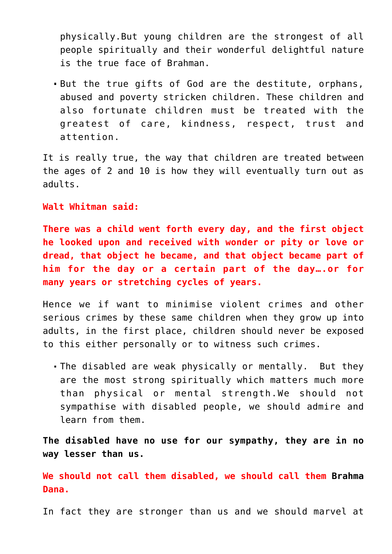physically.But young children are the strongest of all people spiritually and their wonderful delightful nature is the true face of [Brahman.](http://aryadharma.world/brahman/)

But the true gifts of [God](http://aryadharma.world/brahman/) are the destitute, orphans, abused and poverty stricken children. These [children](http://aryadharma.world/children/) and also fortunate children must be treated with the greatest of care, kindness, respect, trust and attention.

It is really true, the way that children are treated between the ages of 2 and 10 is how they will eventually turn out as adults.

**[Walt Whitman](http://en.wikipedia.org/wiki/Walt_Whitman) said:**

**There was a [child](http://aryadharma.world/children/) went forth every day, and the first object he looked upon and received with wonder or pity or love or dread, that object he became, and that object became part of him for the day or a certain part of the day….or for many years or stretching cycles of years.**

Hence we if want to minimise violent crimes and other serious crimes by these same [children](http://aryadharma.world/children/) when they grow up into adults, in the first place, children should never be exposed to this either personally or to witness such crimes.

The disabled are weak physically or mentally. But they are the most strong spiritually which matters much more than physical or mental strength.We should not sympathise with disabled people, we should admire and learn from them.

**The disabled have no use for our sympathy, they are in no way lesser than us.**

**We should not call them disabled, we should call them [Brahma](http://aryadharma.world/brahman/) Dana.**

In fact they are stronger than us and we should marvel at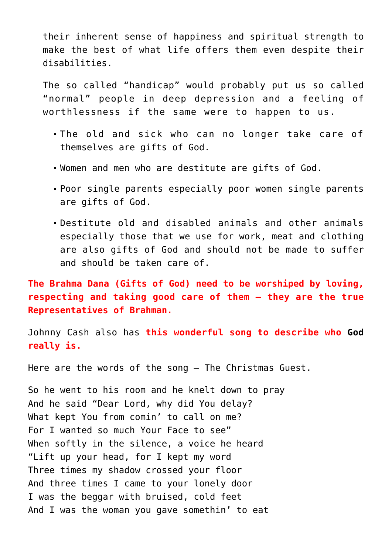their inherent sense of happiness and spiritual strength to make the best of what life offers them even despite their disabilities.

The so called "handicap" would probably put us so called "normal" people in deep depression and a feeling of worthlessness if the same were to happen to us.

- The old and sick who can no longer take care of themselves are gifts of [God.](http://aryadharma.world/brahman/)
- Women and men who are destitute are gifts of God.
- Poor single parents especially poor women single parents are gifts of God.
- Destitute old and disabled animals and other animals especially those that we use for work, meat and clothing are also gifts of God and should not be made to suffer and should be taken care of.

**The Brahma Dana (Gifts of God) need to be worshiped by loving, respecting and taking good care of them – they are the true Representatives of [Brahman.](http://aryadharma.world/brahman/)**

Johnny Cash also has **[this wonderful song](http://www.youtube.com/watch?v=tTwAKf0OLo4) to describe who [God](http://aryadharma.world/brahman/) really is.**

[Here are the words of the song – The Christmas Guest.](http://www.songlyrics.com/johnny-cash/the-christmas-guest-lyrics/)

So he went to his room and he knelt down to pray And he said "Dear Lord, why did You delay? What kept You from comin' to call on me? For I wanted so much Your Face to see" When softly in the silence, a voice he heard "Lift up your head, for I kept my word Three times my shadow crossed your floor And three times I came to your lonely door I was the beggar with bruised, cold feet And I was the woman you gave somethin' to eat